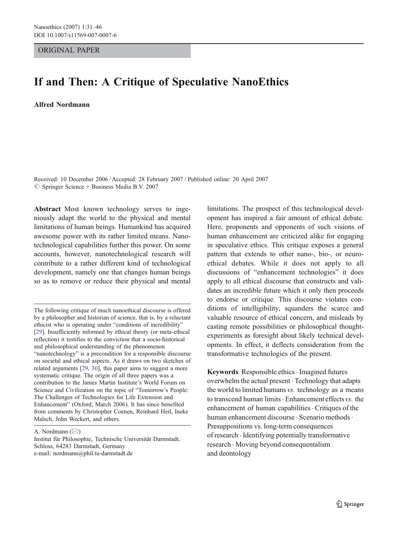# ORIGINAL PAPER

# If and Then: A Critique of Speculative NanoEthics

Alfred Nordmann

Received: 10 December 2006 / Accepted: 28 February 2007 / Published online: 20 April 2007  $\circledcirc$  Springer Science + Business Media B.V. 2007

Abstract Most known technology serves to ingeniously adapt the world to the physical and mental limitations of human beings. Humankind has acquired awesome power with its rather limited means. Nanotechnological capabilities further this power. On some accounts, however, nanotechnological research will contribute to a rather different kind of technological development, namely one that changes human beings so as to remove or reduce their physical and mental

The following critique of much nanoethical discourse is offered by a philosopher and historian of science, that is, by a reluctant ethicist who is operating under "conditions of incredibility" [\[29](#page-15-0)]. Insufficiently informed by ethical theory (or meta-ethical reflection) it testifies to the conviction that a socio-historical and philosophical understanding of the phenomenon "nanotechnology" is a precondition for a responsible discourse on societal and ethical aspects. As it draws on two sketches of related arguments [\[29](#page-15-0), [30](#page-15-0)], this paper aims to suggest a more systematic critique. The origin of all three papers was a contribution to the James Martin Institute's World Forum on Science and Civilization on the topic of "Tomorrow's People: The Challenges of Technologies for Life Extension and Enhancement" (Oxford, March 2006). It has since benefited from comments by Christopher Coenen, Reinhard Heil, Ineke Malsch, John Weckert, and others.

A. Nordmann  $(\boxtimes)$ 

Institut für Philosophie, Technische Universität Darmstadt, Schloss, 64283 Darmstadt, Germany e-mail: nordmann@phil.tu-darmstadt.de

limitations. The prospect of this technological development has inspired a fair amount of ethical debate. Here, proponents and opponents of such visions of human enhancement are criticized alike for engaging in speculative ethics. This critique exposes a general pattern that extends to other nano-, bio-, or neuroethical debates. While it does not apply to all discussions of "enhancement technologies" it does apply to all ethical discourse that constructs and validates an incredible future which it only then proceeds to endorse or critique. This discourse violates conditions of intelligibility, squanders the scarce and valuable resource of ethical concern, and misleads by casting remote possibilities or philosophical thoughtexperiments as foresight about likely technical developments. In effect, it deflects consideration from the transformative technologies of the present.

Keywords Responsible ethics · Imagined futures overwhelm the actual present . Technology that adapts the world to limited humans vs. technology as a means to transcend human limits  $\cdot$  Enhancement effects vs. the enhancement of human capabilities · Critiques of the human enhancement discourse · Scenario methods · Presuppositions vs. long-term consequences of research . Identifying potentially transformative research . Moving beyond consequentalism and deontology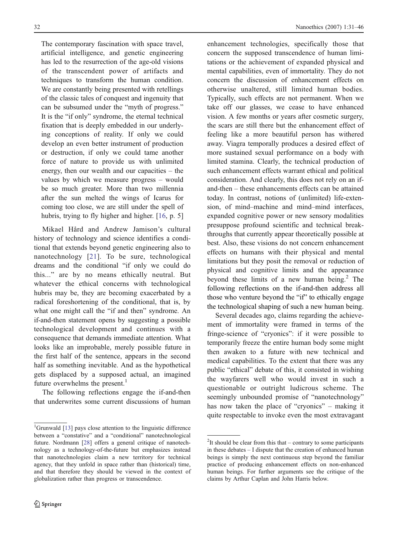The contemporary fascination with space travel, artificial intelligence, and genetic engineering has led to the resurrection of the age-old visions of the transcendent power of artifacts and techniques to transform the human condition. We are constantly being presented with retellings of the classic tales of conquest and ingenuity that can be subsumed under the "myth of progress." It is the "if only" syndrome, the eternal technical fixation that is deeply embedded in our underlying conceptions of reality. If only we could develop an even better instrument of production or destruction, if only we could tame another force of nature to provide us with unlimited energy, then our wealth and our capacities – the values by which we measure progress – would be so much greater. More than two millennia after the sun melted the wings of Icarus for coming too close, we are still under the spell of hubris, trying to fly higher and higher. [\[16](#page-14-0), p. 5]

Mikael Hård and Andrew Jamison's cultural history of technology and science identifies a conditional that extends beyond genetic engineering also to nanotechnology [\[21](#page-14-0)]. To be sure, technological dreams and the conditional "if only we could do this..." are by no means ethically neutral. But whatever the ethical concerns with technological hubris may be, they are becoming exacerbated by a radical foreshortening of the conditional, that is, by what one might call the "if and then" syndrome. An if-and-then statement opens by suggesting a possible technological development and continues with a consequence that demands immediate attention. What looks like an improbable, merely possible future in the first half of the sentence, appears in the second half as something inevitable. And as the hypothetical gets displaced by a supposed actual, an imagined future overwhelms the present.<sup>1</sup>

The following reflections engage the if-and-then that underwrites some current discussions of human enhancement technologies, specifically those that concern the supposed transcendence of human limitations or the achievement of expanded physical and mental capabilities, even of immortality. They do not concern the discussion of enhancement effects on otherwise unaltered, still limited human bodies. Typically, such effects are not permanent. When we take off our glasses, we cease to have enhanced vision. A few months or years after cosmetic surgery, the scars are still there but the enhancement effect of feeling like a more beautiful person has withered away. Viagra temporally produces a desired effect of more sustained sexual performance on a body with limited stamina. Clearly, the technical production of such enhancement effects warrant ethical and political consideration. And clearly, this does not rely on an ifand-then – these enhancements effects can be attained today. In contrast, notions of (unlimited) life-extension, of mind–machine and mind–mind interfaces, expanded cognitive power or new sensory modalities presuppose profound scientific and technical breakthroughs that currently appear theoretically possible at best. Also, these visions do not concern enhancement effects on humans with their physical and mental limitations but they posit the removal or reduction of physical and cognitive limits and the appearance beyond these limits of a new human being.<sup>2</sup> The following reflections on the if-and-then address all those who venture beyond the "if" to ethically engage the technological shaping of such a new human being.

Several decades ago, claims regarding the achievement of immortality were framed in terms of the fringe-science of "cryonics": if it were possible to temporarily freeze the entire human body some might then awaken to a future with new technical and medical capabilities. To the extent that there was any public "ethical" debate of this, it consisted in wishing the wayfarers well who would invest in such a questionable or outright ludicrous scheme. The seemingly unbounded promise of "nanotechnology" has now taken the place of "cryonics" – making it quite respectable to invoke even the most extravagant

<sup>&</sup>lt;sup>1</sup>Grunwald [\[13](#page-14-0)] pays close attention to the linguistic difference between a "constative" and a "conditional" nanotechnological future. Nordmann [\[28](#page-15-0)] offers a general critique of nanotechnology as a technology-of-the-future but emphasizes instead that nanotechnologies claim a new territory for technical agency, that they unfold in space rather than (historical) time, and that therefore they should be viewed in the context of globalization rather than progress or transcendence.

 $2$ It should be clear from this that – contrary to some participants in these debates – I dispute that the creation of enhanced human beings is simply the next continuous step beyond the familiar practice of producing enhancement effects on non-enhanced human beings. For further arguments see the critique of the claims by Arthur Caplan and John Harris below.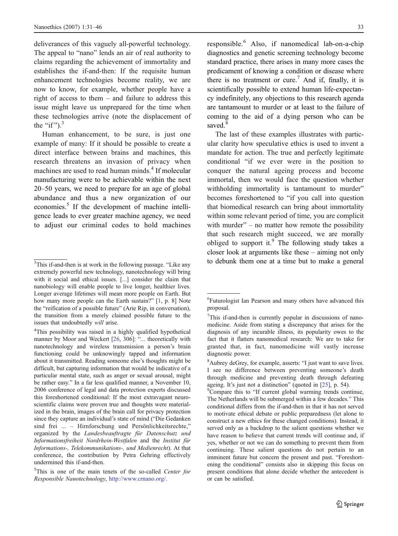deliverances of this vaguely all-powerful technology. The appeal to "nano" lends an air of real authority to claims regarding the achievement of immortality and establishes the if-and-then: If the requisite human enhancement technologies become reality, we are now to know, for example, whether people have a right of access to them – and failure to address this issue might leave us unprepared for the time when these technologies arrive (note the displacement of the "if" $)$ .<sup>3</sup>

Human enhancement, to be sure, is just one example of many: If it should be possible to create a direct interface between brains and machines, this research threatens an invasion of privacy when machines are used to read human minds.<sup>4</sup> If molecular manufacturing were to be achievable within the next 20–50 years, we need to prepare for an age of global abundance and thus a new organization of our economies.<sup>5</sup> If the development of machine intelligence leads to ever greater machine agency, we need to adjust our criminal codes to hold machines

4 This possibility was raised in a highly qualified hypothetical manner by Moor and Weckert [\[26](#page-14-0), 306]: "... theoretically with nanotechnology and wireless transmission a person's brain functioning could be unknowingly tapped and information about it transmitted. Reading someone else's thoughts might be difficult, but capturing information that would be indicative of a particular mental state, such as anger or sexual arousal, might be rather easy." In a far less qualified manner, a November 10, 2006 conference of legal and data protection experts discussed this foreshortened conditional: If the most extravagant neuroscientific claims were proven true and thoughts were materialized in the brain, images of the brain call for privacy protection since they capture an individual's state of mind ("Die Gedanken sind frei ... – Hirnforschung und Persönlichkeitsrechte," organized by the Landesbeauftragte für Datenschutz und Informationsfreiheit Nordrhein-Westfalen and the Institut für Informations-, Telekommunikations-, und Medienrecht). At that conference, the contribution by Petra Gehring effectively undermined this if-and-then.

responsible.<sup>6</sup> Also, if nanomedical lab-on-a-chip diagnostics and genetic screening technology become standard practice, there arises in many more cases the predicament of knowing a condition or disease where there is no treatment or cure.<sup>7</sup> And if, finally, it is scientifically possible to extend human life-expectancy indefinitely, any objections to this research agenda are tantamount to murder or at least to the failure of coming to the aid of a dying person who can be saved.<sup>8</sup>

The last of these examples illustrates with particular clarity how speculative ethics is used to invent a mandate for action. The true and perfectly legitimate conditional "if we ever were in the position to conquer the natural ageing process and become immortal, then we would face the question whether withholding immortality is tantamount to murder" becomes foreshortened to "if you call into question that biomedical research can bring about immortality within some relevant period of time, you are complicit with murder" – no matter how remote the possibility that such research might succeed, we are morally obliged to support it. $9$  The following study takes a closer look at arguments like these – aiming not only

 $3$ This if-and-then is at work in the following passage. "Like any to debunk them one at a time but to make a general extremely powerful new technology, nanotechnology will bring with it social and ethical issues. [...] consider the claim that nanobiology will enable people to live longer, healthier lives. Longer average lifetimes will mean more people on Earth. But how many more people can the Earth sustain?" [\[1](#page-14-0), p. 8] Note the "reification of a possible future" (Arie Rip, in conversation), the transition from a merely claimed possible future to the issues that undoubtedly will arise.

<sup>&</sup>lt;sup>5</sup>This is one of the main tenets of the so-called Center for Responsible Nanotechnology, [http://www.crnano.org](http://www.crnano.org/)/.

<sup>6</sup> Futurologist Ian Pearson and many others have advanced this proposal.

<sup>&</sup>lt;sup>7</sup>This if-and-then is currently popular in discussions of nanomedicine. Aside from stating a discrepancy that arises for the diagnosis of any incurable illness, its popularity owes to the fact that it flatters nanomedical research: We are to take for granted that, in fact, nanomedicine will vastly increase diagnostic power.

<sup>8</sup> Aubrey deGrey, for example, asserts: "I just want to save lives. I see no difference between preventing someone's death through medicine and preventing death through defeating ageing. It's just not a distinction" (quoted in  $[25]$ , p. 54).

<sup>&</sup>lt;sup>9</sup>Compare this to "If current global warming trends continue, The Netherlands will be submerged within a few decades." This conditional differs from the if-and-then in that it has not served to motivate ethical debate or public preparedness (let alone to construct a new ethics for these changed conditions). Instead, it served only as a backdrop to the salient questions whether we have reason to believe that current trends will continue and, if yes, whether or not we can do something to prevent them from continuing. These salient questions do not pertain to an imminent future but concern the present and past. "Foreshortening the conditional" consists also in skipping this focus on present conditions that alone decide whether the antecedent is or can be satisfied.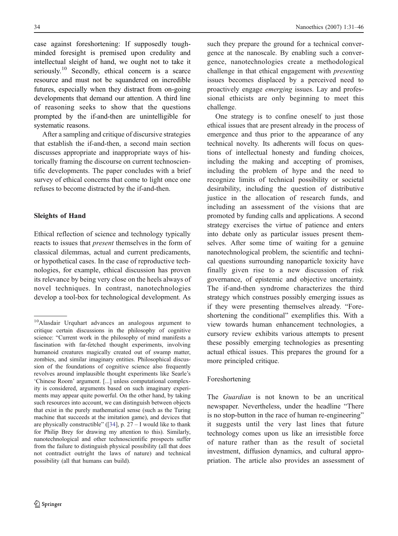<span id="page-3-0"></span>case against foreshortening: If supposedly toughminded foresight is premised upon credulity and intellectual sleight of hand, we ought not to take it seriously.<sup>10</sup> Secondly, ethical concern is a scarce resource and must not be squandered on incredible futures, especially when they distract from on-going developments that demand our attention. A third line of reasoning seeks to show that the questions prompted by the if-and-then are unintelligible for systematic reasons.

After a sampling and critique of discursive strategies that establish the if-and-then, a second main section discusses appropriate and inappropriate ways of historically framing the discourse on current technoscientific developments. The paper concludes with a brief survey of ethical concerns that come to light once one refuses to become distracted by the if-and-then.

# Sleights of Hand

Ethical reflection of science and technology typically reacts to issues that present themselves in the form of classical dilemmas, actual and current predicaments, or hypothetical cases. In the case of reproductive technologies, for example, ethical discussion has proven its relevance by being very close on the heels always of novel techniques. In contrast, nanotechnologies develop a tool-box for technological development. As

such they prepare the ground for a technical convergence at the nanoscale. By enabling such a convergence, nanotechnologies create a methodological challenge in that ethical engagement with presenting issues becomes displaced by a perceived need to proactively engage emerging issues. Lay and professional ethicists are only beginning to meet this challenge.

One strategy is to confine oneself to just those ethical issues that are present already in the process of emergence and thus prior to the appearance of any technical novelty. Its adherents will focus on questions of intellectual honesty and funding choices, including the making and accepting of promises, including the problem of hype and the need to recognize limits of technical possibility or societal desirability, including the question of distributive justice in the allocation of research funds, and including an assessment of the visions that are promoted by funding calls and applications. A second strategy exercises the virtue of patience and enters into debate only as particular issues present themselves. After some time of waiting for a genuine nanotechnological problem, the scientific and technical questions surrounding nanoparticle toxicity have finally given rise to a new discussion of risk governance, of epistemic and objective uncertainty. The if-and-then syndrome characterizes the third strategy which construes possibly emerging issues as if they were presenting themselves already. "Foreshortening the conditional" exemplifies this. With a view towards human enhancement technologies, a cursory review exhibits various attempts to present these possibly emerging technologies as presenting actual ethical issues. This prepares the ground for a more principled critique.

# Foreshortening

The *Guardian* is not known to be an uncritical newspaper. Nevertheless, under the headline "There is no stop-button in the race of human re-engineering" it suggests until the very last lines that future technology comes upon us like an irresistible force of nature rather than as the result of societal investment, diffusion dynamics, and cultural appropriation. The article also provides an assessment of

<sup>10</sup>Alasdair Urquhart advances an analogous argument to critique certain discussions in the philosophy of cognitive science: "Current work in the philosophy of mind manifests a fascination with far-fetched thought experiments, involving humanoid creatures magically created out of swamp matter, zombies, and similar imaginary entities. Philosophical discussion of the foundations of cognitive science also frequently revolves around implausible thought experiments like Searle's 'Chinese Room' argument. [...] unless computational complexity is considered, arguments based on such imaginary experiments may appear quite powerful. On the other hand, by taking such resources into account, we can distinguish between objects that exist in the purely mathematical sense (such as the Turing machine that succeeds at the imitation game), and devices that are physically constructible" ( $[34]$ , p. 27 – I would like to thank for Philip Brey for drawing my attention to this). Similarly, nanotechnological and other technoscientific prospects suffer from the failure to distinguish physical possibility (all that does not contradict outright the laws of nature) and technical possibility (all that humans can build).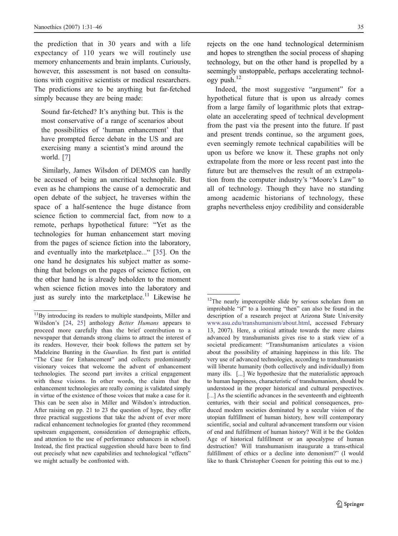<span id="page-4-0"></span>the prediction that in 30 years and with a life expectancy of 110 years we will routinely use memory enhancements and brain implants. Curiously, however, this assessment is not based on consultations with cognitive scientists or medical researchers. The predictions are to be anything but far-fetched simply because they are being made:

Sound far-fetched? It's anything but. This is the most conservative of a range of scenarios about the possibilities of 'human enhancement' that have prompted fierce debate in the US and are exercising many a scientist's mind around the world. [\[7](#page-14-0)]

Similarly, James Wilsdon of DEMOS can hardly be accused of being an uncritical technophile. But even as he champions the cause of a democratic and open debate of the subject, he traverses within the space of a half-sentence the huge distance from science fiction to commercial fact, from now to a remote, perhaps hypothetical future: "Yet as the technologies for human enhancement start moving from the pages of science fiction into the laboratory, and eventually into the marketplace..." [\[35](#page-15-0)]. On the one hand he designates his subject matter as something that belongs on the pages of science fiction, on the other hand he is already beholden to the moment when science fiction moves into the laboratory and just as surely into the marketplace.<sup>11</sup> Likewise he rejects on the one hand technological determinism and hopes to strengthen the social process of shaping technology, but on the other hand is propelled by a seemingly unstoppable, perhaps accelerating technology push.<sup>12</sup>

Indeed, the most suggestive "argument" for a hypothetical future that is upon us already comes from a large family of logarithmic plots that extrapolate an accelerating speed of technical development from the past via the present into the future. If past and present trends continue, so the argument goes, even seemingly remote technical capabilities will be upon us before we know it. These graphs not only extrapolate from the more or less recent past into the future but are themselves the result of an extrapolation from the computer industry's "Moore's Law" to all of technology. Though they have no standing among academic historians of technology, these graphs nevertheless enjoy credibility and considerable

<sup>&</sup>lt;sup>11</sup>By introducing its readers to multiple standpoints, Miller and Wilsdon's [\[24](#page-14-0), [25](#page-14-0)] anthology *Better Humans* appears to proceed more carefully than the brief contribution to a newspaper that demands strong claims to attract the interest of its readers. However, their book follows the pattern set by Madeleine Bunting in the Guardian. Its first part is entitled "The Case for Enhancement" and collects predominantly visionary voices that welcome the advent of enhancement technologies. The second part invites a critical engagement with these visions. In other words, the claim that the enhancement technologies are really coming is validated simply in virtue of the existence of those voices that make a case for it. This can be seen also in Miller and Wilsdon's introduction. After raising on pp. 21 to 23 the question of hype, they offer three practical suggestions that take the advent of ever more radical enhancement technologies for granted (they recommend upstream engagement, consideration of demographic effects, and attention to the use of performance enhancers in school). Instead, the first practical suggestion should have been to find out precisely what new capabilities and technological "effects" we might actually be confronted with.

<sup>&</sup>lt;sup>12</sup>The nearly imperceptible slide by serious scholars from an improbable "if" to a looming "then" can also be found in the description of a research project at Arizona State University [www.asu.edu/transhumanism/about.htm](http://www.asu.edu/transhumanism/about.html)l, accessed February 13, 2007). Here, a critical attitude towards the mere claims advanced by transhumanists gives rise to a stark view of a societal predicament: "Transhumanism articulates a vision about the possibility of attaining happiness in this life. The very use of advanced technologies, according to transhumanists will liberate humanity (both collectively and individually) from many ills. [...] We hypothesize that the materialistic approach to human happiness, characteristic of transhumanism, should be understood in the proper historical and cultural perspectives. [...] As the scientific advances in the seventeenth and eighteenth centuries, with their social and political consequences, produced modern societies dominated by a secular vision of the utopian fulfillment of human history, how will contemporary scientific, social and cultural advancement transform our vision of end and fulfillment of human history? Will it be the Golden Age of historical fulfillment or an apocalypse of human destruction? Will transhumanism inaugurate a trans-ethical fulfillment of ethics or a decline into demonism?" (I would like to thank Christopher Coenen for pointing this out to me.)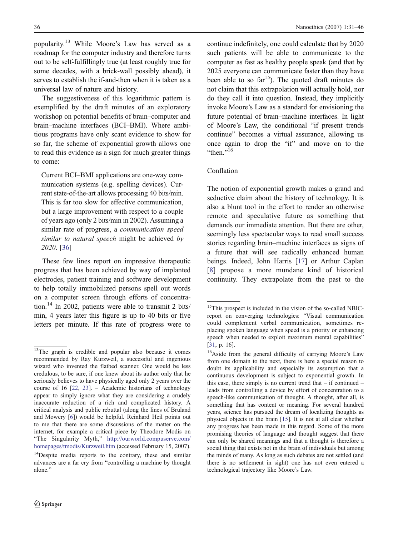popularity.<sup>13</sup> While Moore's Law has served as a roadmap for the computer industry and therefore turns out to be self-fulfillingly true (at least roughly true for some decades, with a brick-wall possibly ahead), it serves to establish the if-and-then when it is taken as a universal law of nature and history.

The suggestiveness of this logarithmic pattern is exemplified by the draft minutes of an exploratory workshop on potential benefits of brain–computer and brain–machine interfaces (BCI–BMI). Where ambitious programs have only scant evidence to show for so far, the scheme of exponential growth allows one to read this evidence as a sign for much greater things to come:

Current BCI–BMI applications are one-way communication systems (e.g. spelling devices). Current state-of-the-art allows processing 40 bits/min. This is far too slow for effective communication, but a large improvement with respect to a couple of years ago (only 2 bits/min in 2002). Assuming a similar rate of progress, a communication speed similar to natural speech might be achieved by 2020. [\[36](#page-15-0)]

These few lines report on impressive therapeutic progress that has been achieved by way of implanted electrodes, patient training and software development to help totally immobilized persons spell out words on a computer screen through efforts of concentration.<sup>14</sup> In 2002, patients were able to transmit 2 bits/ min, 4 years later this figure is up to 40 bits or five letters per minute. If this rate of progress were to

continue indefinitely, one could calculate that by 2020 such patients will be able to communicate to the computer as fast as healthy people speak (and that by 2025 everyone can communicate faster than they have been able to so  $far^{15}$ ). The quoted draft minutes do not claim that this extrapolation will actually hold, nor do they call it into question. Instead, they implicitly invoke Moore's Law as a standard for envisioning the future potential of brain–machine interfaces. In light of Moore's Law, the conditional "if present trends continue" becomes a virtual assurance, allowing us once again to drop the "if" and move on to the "then." $16$ 

### Conflation

The notion of exponential growth makes a grand and seductive claim about the history of technology. It is also a blunt tool in the effort to render an otherwise remote and speculative future as something that demands our immediate attention. But there are other, seemingly less spectacular ways to read small success stories regarding brain–machine interfaces as signs of a future that will see radically enhanced human beings. Indeed, John Harris [\[17](#page-14-0)] or Arthur Caplan [\[8](#page-14-0)] propose a more mundane kind of historical continuity. They extrapolate from the past to the

<sup>&</sup>lt;sup>13</sup>The graph is credible and popular also because it comes recommended by Ray Kurzweil, a successful and ingenious wizard who invented the flatbed scanner. One would be less credulous, to be sure, if one knew about its author only that he seriously believes to have physically aged only 2 years over the course of 16 [\[22](#page-14-0), [23](#page-14-0)]. – Academic historians of technology appear to simply ignore what they are considering a crudely inaccurate reduction of a rich and complicated history. A critical analysis and public rebuttal (along the lines of Bruland and Mowery [\[6](#page-14-0)]) would be helpful. Reinhard Heil points out to me that there are some discussions of the matter on the internet, for example a critical piece by Theodore Modis on "The Singularity Myth," [http://ourworld.compuserve.com](http://ourworld.compuserve.com/homepages/tmodis/Kurzweil.htm)/ [homepages/tmodis/Kurzweil.htm](http://ourworld.compuserve.com/homepages/tmodis/Kurzweil.htm) (accessed February 15, 2007).

<sup>&</sup>lt;sup>14</sup>Despite media reports to the contrary, these and similar advances are a far cry from "controlling a machine by thought alone."

<sup>&</sup>lt;sup>15</sup>This prospect is included in the vision of the so-called NBICreport on converging technologies: "Visual communication could complement verbal communication, sometimes replacing spoken language when speed is a priority or enhancing speech when needed to exploit maximum mental capabilities" [\[31](#page-15-0), p. 16].

<sup>&</sup>lt;sup>16</sup>Aside from the general difficulty of carrying Moore's Law from one domain to the next, there is here a special reason to doubt its applicability and especially its assumption that a continuous development is subject to exponential growth. In this case, there simply is no current trend that  $-$  if continued  $$ leads from controlling a device by effort of concentration to a speech-like communication of thought. A thought, after all, is something that has content or meaning. For several hundred years, science has pursued the dream of localizing thoughts as physical objects in the brain [\[15](#page-14-0)]. It is not at all clear whether any progress has been made in this regard. Some of the more promising theories of language and thought suggest that there can only be shared meanings and that a thought is therefore a social thing that exists not in the brain of individuals but among the minds of many. As long as such debates are not settled (and there is no settlement in sight) one has not even entered a technological trajectory like Moore's Law.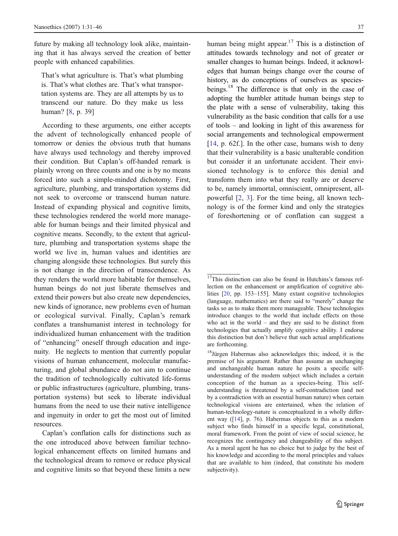future by making all technology look alike, maintaining that it has always served the creation of better people with enhanced capabilities.

That's what agriculture is. That's what plumbing is. That's what clothes are. That's what transportation systems are. They are all attempts by us to transcend our nature. Do they make us less human? [\[8](#page-14-0), p. 39]

According to these arguments, one either accepts the advent of technologically enhanced people of tomorrow or denies the obvious truth that humans have always used technology and thereby improved their condition. But Caplan's off-handed remark is plainly wrong on three counts and one is by no means forced into such a simple-minded dichotomy. First, agriculture, plumbing, and transportation systems did not seek to overcome or transcend human nature. Instead of expanding physical and cognitive limits, these technologies rendered the world more manageable for human beings and their limited physical and cognitive means. Secondly, to the extent that agriculture, plumbing and transportation systems shape the world we live in, human values and identities are changing alongside these technologies. But surely this is not change in the direction of transcendence. As they renders the world more habitable for themselves, human beings do not just liberate themselves and extend their powers but also create new dependencies, new kinds of ignorance, new problems even of human or ecological survival. Finally, Caplan's remark conflates a transhumanist interest in technology for individualized human enhancement with the tradition of "enhancing" oneself through education and ingenuity. He neglects to mention that currently popular visions of human enhancement, molecular manufacturing, and global abundance do not aim to continue the tradition of technologically cultivated life-forms or public infrastructures (agriculture, plumbing, transportation systems) but seek to liberate individual humans from the need to use their native intelligence and ingenuity in order to get the most out of limited resources.

Caplan's conflation calls for distinctions such as the one introduced above between familiar technological enhancement effects on limited humans and the technological dream to remove or reduce physical and cognitive limits so that beyond these limits a new

human being might appear.<sup>17</sup> This is a distinction of attitudes towards technology and not of greater or smaller changes to human beings. Indeed, it acknowledges that human beings change over the course of history, as do conceptions of ourselves as speciesbeings.<sup>18</sup> The difference is that only in the case of adopting the humbler attitude human beings step to the plate with a sense of vulnerability, taking this vulnerability as the basic condition that calls for a use of tools – and looking in light of this awareness for social arrangements and technological empowerment [\[14](#page-14-0), p. 62f.]. In the other case, humans wish to deny that their vulnerability is a basic unalterable condition but consider it an unfortunate accident. Their envisioned technology is to enforce this denial and transform them into what they really are or deserve to be, namely immortal, omniscient, omnipresent, allpowerful [\[2](#page-14-0), [3](#page-14-0)]. For the time being, all known technology is of the former kind and only the strategies of foreshortening or of conflation can suggest a

<sup>&</sup>lt;sup>17</sup>This distinction can also be found in Hutchins's famous reflection on the enhancement or amplification of cognitive abilities [\[20](#page-14-0), pp. 153–155]. Many extant cognitive technologies (language, mathematics) are there said to "merely" change the tasks so as to make them more manageable. These technologies introduce changes to the world that include effects on those who act in the world – and they are said to be distinct from technologies that actually amplify cognitive ability. I endorse this distinction but don't believe that such actual amplifications are forthcoming.

<sup>&</sup>lt;sup>18</sup>Jürgen Habermas also acknowledges this; indeed, it is the premise of his argument. Rather than assume an unchanging and unchangeable human nature he posits a specific selfunderstanding of the modern subject which includes a certain conception of the human as a species-being. This selfunderstanding is threatened by a self-contradiction (and not by a contradiction with an essential human nature) when certain technological visions are entertained, when the relation of human-technology-nature is conceptualized in a wholly different way ([\[14](#page-14-0)], p. 76). Habermas objects to this as a modern subject who finds himself in a specific legal, constitutional, moral framework. From the point of view of social science, he recognizes the contingency and changeability of this subject. As a moral agent he has no choice but to judge by the best of his knowledge and according to the moral principles and values that are available to him (indeed, that constitute his modern subjectivity).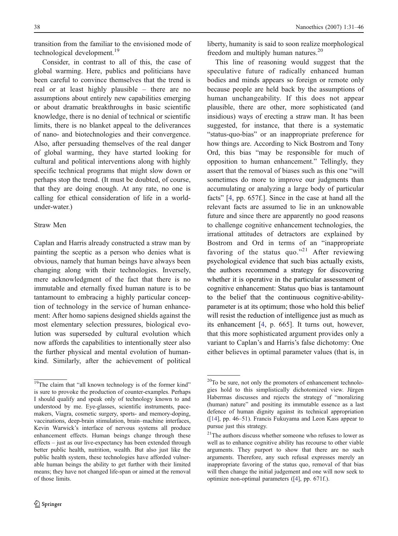transition from the familiar to the envisioned mode of technological development.<sup>19</sup>

Consider, in contrast to all of this, the case of global warming. Here, publics and politicians have been careful to convince themselves that the trend is real or at least highly plausible – there are no assumptions about entirely new capabilities emerging or about dramatic breakthroughs in basic scientific knowledge, there is no denial of technical or scientific limits, there is no blanket appeal to the deliverances of nano- and biotechnologies and their convergence. Also, after persuading themselves of the real danger of global warming, they have started looking for cultural and political interventions along with highly specific technical programs that might slow down or perhaps stop the trend. (It must be doubted, of course, that they are doing enough. At any rate, no one is calling for ethical consideration of life in a worldunder-water.)

#### Straw Men

Caplan and Harris already constructed a straw man by painting the sceptic as a person who denies what is obvious, namely that human beings have always been changing along with their technologies. Inversely, mere acknowledgment of the fact that there is no immutable and eternally fixed human nature is to be tantamount to embracing a highly particular conception of technology in the service of human enhancement: After homo sapiens designed shields against the most elementary selection pressures, biological evolution was superseded by cultural evolution which now affords the capabilities to intentionally steer also the further physical and mental evolution of humankind. Similarly, after the achievement of political liberty, humanity is said to soon realize morphological freedom and multiply human natures.<sup>20</sup>

This line of reasoning would suggest that the speculative future of radically enhanced human bodies and minds appears so foreign or remote only because people are held back by the assumptions of human unchangeability. If this does not appear plausible, there are other, more sophisticated (and insidious) ways of erecting a straw man. It has been suggested, for instance, that there is a systematic "status-quo-bias" or an inappropriate preference for how things are. According to Nick Bostrom and Tony Ord, this bias "may be responsible for much of opposition to human enhancement." Tellingly, they assert that the removal of biases such as this one "will sometimes do more to improve our judgments than accumulating or analyzing a large body of particular facts" [\[4](#page-14-0), pp. 657f.]. Since in the case at hand all the relevant facts are assumed to lie in an unknowable future and since there are apparently no good reasons to challenge cognitive enhancement technologies, the irrational attitudes of detractors are explained by Bostrom and Ord in terms of an "inappropriate favoring of the status quo."<sup>21</sup> After reviewing psychological evidence that such bias actually exists, the authors recommend a strategy for discovering whether it is operative in the particular assessment of cognitive enhancement: Status quo bias is tantamount to the belief that the continuous cognitive-abilityparameter is at its optimum; those who hold this belief will resist the reduction of intelligence just as much as its enhancement [\[4](#page-14-0), p. 665]. It turns out, however, that this more sophisticated argument provides only a variant to Caplan's and Harris's false dichotomy: One either believes in optimal parameter values (that is, in

<sup>&</sup>lt;sup>19</sup>The claim that "all known technology is of the former kind" is sure to provoke the production of counter-examples. Perhaps I should qualify and speak only of technology known to and understood by me. Eye-glasses, scientific instruments, pacemakers, Viagra, cosmetic surgery, sports- and memory-doping, vaccinations, deep-brain stimulation, brain–machine interfaces, Kevin Warwick's interface of nervous systems all produce enhancement effects. Human beings change through these effects – just as our live-expectancy has been extended through better public health, nutrition, wealth. But also just like the public health system, these technologies have afforded vulnerable human beings the ability to get further with their limited means; they have not changed life-span or aimed at the removal of those limits.

 $20$ To be sure, not only the promoters of enhancement technologies hold to this simplistically dichotomized view. Jürgen Habermas discusses and rejects the strategy of "moralizing (human) nature" and positing its immutable essence as a last defence of human dignity against its technical appropriation [\(\[14](#page-14-0)], pp. 46–51). Francis Fukuyama and Leon Kass appear to pursue just this strategy.

<sup>&</sup>lt;sup>21</sup>The authors discuss whether someone who refuses to lower as well as to enhance cognitive ability has recourse to other viable arguments. They purport to show that there are no such arguments. Therefore, any such refusal expresses merely an inappropriate favoring of the status quo, removal of that bias will then change the initial judgement and one will now seek to optimize non-optimal parameters ([\[4](#page-14-0)], pp. 671f.).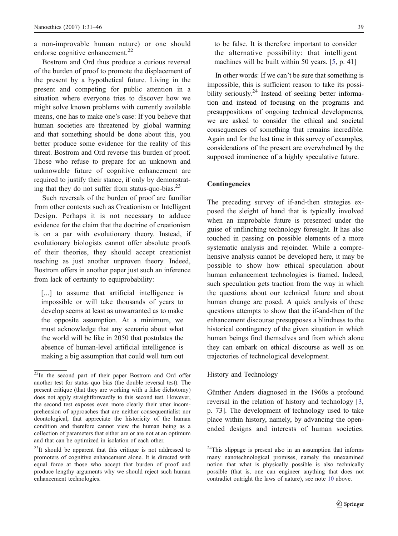a non-improvable human nature) or one should endorse cognitive enhancement.<sup>22</sup>

Bostrom and Ord thus produce a curious reversal of the burden of proof to promote the displacement of the present by a hypothetical future. Living in the present and competing for public attention in a situation where everyone tries to discover how we might solve known problems with currently available means, one has to make one's case: If you believe that human societies are threatened by global warming and that something should be done about this, you better produce some evidence for the reality of this threat. Bostrom and Ord reverse this burden of proof. Those who refuse to prepare for an unknown and unknowable future of cognitive enhancement are required to justify their stance, if only by demonstrating that they do not suffer from status-quo-bias. $^{23}$ 

Such reversals of the burden of proof are familiar from other contexts such as Creationism or Intelligent Design. Perhaps it is not necessary to adduce evidence for the claim that the doctrine of creationism is on a par with evolutionary theory. Instead, if evolutionary biologists cannot offer absolute proofs of their theories, they should accept creationist teaching as just another unproven theory. Indeed, Bostrom offers in another paper just such an inference from lack of certainty to equiprobability:

[...] to assume that artificial intelligence is impossible or will take thousands of years to develop seems at least as unwarranted as to make the opposite assumption. At a minimum, we must acknowledge that any scenario about what the world will be like in 2050 that postulates the absence of human-level artificial intelligence is making a big assumption that could well turn out to be false. It is therefore important to consider the alternative possibility: that intelligent machines will be built within 50 years. [\[5](#page-14-0), p. 41]

In other words: If we can't be sure that something is impossible, this is sufficient reason to take its possibility seriously.<sup>24</sup> Instead of seeking better information and instead of focusing on the programs and presuppositions of ongoing technical developments, we are asked to consider the ethical and societal consequences of something that remains incredible. Again and for the last time in this survey of examples, considerations of the present are overwhelmed by the supposed imminence of a highly speculative future.

## Contingencies

The preceding survey of if-and-then strategies exposed the sleight of hand that is typically involved when an improbable future is presented under the guise of unflinching technology foresight. It has also touched in passing on possible elements of a more systematic analysis and rejoinder. While a comprehensive analysis cannot be developed here, it may be possible to show how ethical speculation about human enhancement technologies is framed. Indeed, such speculation gets traction from the way in which the questions about our technical future and about human change are posed. A quick analysis of these questions attempts to show that the if-and-then of the enhancement discourse presupposes a blindness to the historical contingency of the given situation in which human beings find themselves and from which alone they can embark on ethical discourse as well as on trajectories of technological development.

#### History and Technology

Günther Anders diagnosed in the 1960s a profound reversal in the relation of history and technology [\[3](#page-14-0), p. 73]. The development of technology used to take place within history, namely, by advancing the openended designs and interests of human societies.

 $22\text{In}$  the second part of their paper Bostrom and Ord offer another test for status quo bias (the double reversal test). The present critique (that they are working with a false dichotomy) does not apply straightforwardly to this second test. However, the second test exposes even more clearly their utter incomprehension of approaches that are neither consequentialist nor deontological, that appreciate the historicity of the human condition and therefore cannot view the human being as a collection of parameters that either are or are not at an optimum and that can be optimized in isolation of each other.

<sup>&</sup>lt;sup>23</sup>It should be apparent that this critique is not addressed to promoters of cognitive enhancement alone. It is directed with equal force at those who accept that burden of proof and produce lengthy arguments why we should reject such human enhancement technologies.

<sup>&</sup>lt;sup>24</sup>This slippage is present also in an assumption that informs many nanotechnological promises, namely the unexamined notion that what is physically possible is also technically possible (that is, one can engineer anything that does not contradict outright the laws of nature), see note [10](#page-3-0) above.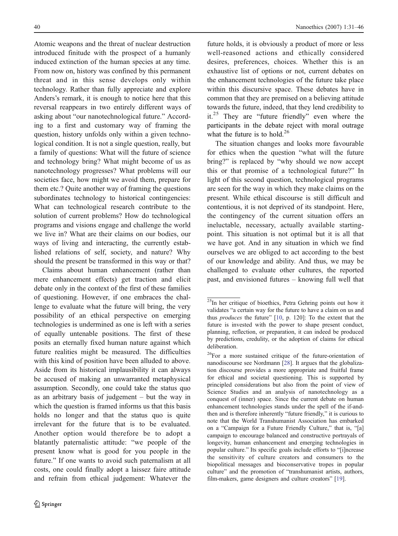Atomic weapons and the threat of nuclear destruction introduced finitude with the prospect of a humanly induced extinction of the human species at any time. From now on, history was confined by this permanent threat and in this sense develops only within technology. Rather than fully appreciate and explore Anders's remark, it is enough to notice here that this reversal reappears in two entirely different ways of asking about "our nanotechnological future." According to a first and customary way of framing the question, history unfolds only within a given technological condition. It is not a single question, really, but a family of questions: What will the future of science and technology bring? What might become of us as nanotechnology progresses? What problems will our societies face, how might we avoid them, prepare for them etc.? Quite another way of framing the questions subordinates technology to historical contingencies: What can technological research contribute to the solution of current problems? How do technological programs and visions engage and challenge the world we live in? What are their claims on our bodies, our ways of living and interacting, the currently established relations of self, society, and nature? Why should the present be transformed in this way or that?

Claims about human enhancement (rather than mere enhancement effects) get traction and elicit debate only in the context of the first of these families of questioning. However, if one embraces the challenge to evaluate what the future will bring, the very possibility of an ethical perspective on emerging technologies is undermined as one is left with a series of equally untenable positions. The first of these posits an eternally fixed human nature against which future realities might be measured. The difficulties with this kind of position have been alluded to above. Aside from its historical implausibility it can always be accused of making an unwarranted metaphysical assumption. Secondly, one could take the status quo as an arbitrary basis of judgement – but the way in which the question is framed informs us that this basis holds no longer and that the status quo is quite irrelevant for the future that is to be evaluated. Another option would therefore be to adopt a blatantly paternalistic attitude: "we people of the present know what is good for you people in the future." If one wants to avoid such paternalism at all costs, one could finally adopt a laissez faire attitude and refrain from ethical judgement: Whatever the future holds, it is obviously a product of more or less well-reasoned actions and ethically considered desires, preferences, choices. Whether this is an exhaustive list of options or not, current debates on the enhancement technologies of the future take place within this discursive space. These debates have in common that they are premised on a believing attitude towards the future, indeed, that they lend credibility to it.<sup>25</sup> They are "future friendly" even where the participants in the debate reject with moral outrage what the future is to hold.<sup>26</sup>

The situation changes and looks more favourable for ethics when the question "what will the future bring?" is replaced by "why should we now accept this or that promise of a technological future?" In light of this second question, technological programs are seen for the way in which they make claims on the present. While ethical discourse is still difficult and contentious, it is not deprived of its standpoint. Here, the contingency of the current situation offers an ineluctable, necessary, actually available startingpoint. This situation is not optimal but it is all that we have got. And in any situation in which we find ourselves we are obliged to act according to the best of our knowledge and ability. And thus, we may be challenged to evaluate other cultures, the reported past, and envisioned futures – knowing full well that

 $25\text{In}$  her critique of bioethics, Petra Gehring points out how it validates "a certain way for the future to have a claim on us and thus produces the future" [\[10](#page-14-0), p. 120]: To the extent that the future is invested with the power to shape present conduct, planning, reflection, or preparation, it can indeed be produced by predictions, credulity, or the adoption of claims for ethical deliberation.

<sup>26</sup>For a more sustained critique of the future-orientation of nanodiscourse see Nordmann [\[28](#page-15-0)]. It argues that the globalization discourse provides a more appropriate and fruitful frame for ethical and societal questioning. This is supported by principled considerations but also from the point of view of Science Studies and an analysis of nanotechnology as a conquest of (inner) space. Since the current debate on human enhancement technologies stands under the spell of the if-andthen and is therefore inherently "future friendly," it is curious to note that the World Transhumanist Association has embarked on a "Campaign for a Future Friendly Culture," that is, "[a] campaign to encourage balanced and constructive portrayals of longevity, human enhancement and emerging technologies in popular culture." Its specific goals include efforts to "[i]ncrease the sensitivity of culture creators and consumers to the biopolitical messages and bioconservative tropes in popular culture" and the promotion of "transhumanist artists, authors, film-makers, game designers and culture creators" [\[19](#page-14-0)].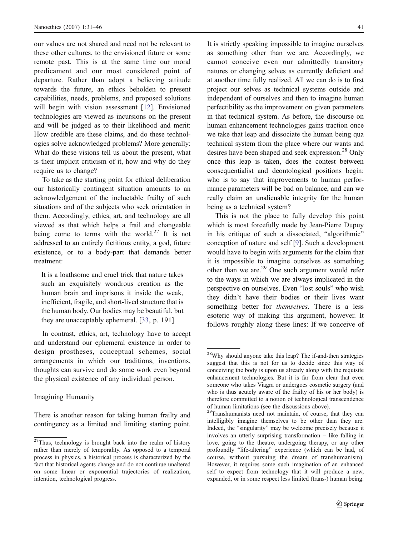our values are not shared and need not be relevant to these other cultures, to the envisioned future or some remote past. This is at the same time our moral predicament and our most considered point of departure. Rather than adopt a believing attitude towards the future, an ethics beholden to present capabilities, needs, problems, and proposed solutions will begin with vision assessment [\[12](#page-14-0)]. Envisioned technologies are viewed as incursions on the present and will be judged as to their likelihood and merit: How credible are these claims, and do these technologies solve acknowledged problems? More generally: What do these visions tell us about the present, what is their implicit criticism of it, how and why do they require us to change?

To take as the starting point for ethical deliberation our historically contingent situation amounts to an acknowledgement of the ineluctable frailty of such situations and of the subjects who seek orientation in them. Accordingly, ethics, art, and technology are all viewed as that which helps a frail and changeable being come to terms with the world.<sup>27</sup> It is not addressed to an entirely fictitious entity, a god, future existence, or to a body-part that demands better treatment:

It is a loathsome and cruel trick that nature takes such an exquisitely wondrous creation as the human brain and imprisons it inside the weak, inefficient, fragile, and short-lived structure that is the human body. Our bodies may be beautiful, but they are unacceptably ephemeral. [\[33](#page-15-0), p. 191]

In contrast, ethics, art, technology have to accept and understand our ephemeral existence in order to design prostheses, conceptual schemes, social arrangements in which our traditions, inventions, thoughts can survive and do some work even beyond the physical existence of any individual person.

## Imagining Humanity

There is another reason for taking human frailty and contingency as a limited and limiting starting point.

It is strictly speaking impossible to imagine ourselves as something other than we are. Accordingly, we cannot conceive even our admittedly transitory natures or changing selves as currently deficient and at another time fully realized. All we can do is to first project our selves as technical systems outside and independent of ourselves and then to imagine human perfectibility as the improvement on given parameters in that technical system. As before, the discourse on human enhancement technologies gains traction once we take that leap and dissociate the human being qua technical system from the place where our wants and desires have been shaped and seek expression.<sup>28</sup> Only once this leap is taken, does the contest between consequentialist and deontological positions begin: who is to say that improvements to human performance parameters will be bad on balance, and can we really claim an unalienable integrity for the human being as a technical system?

This is not the place to fully develop this point which is most forcefully made by Jean-Pierre Dupuy in his critique of such a dissociated, "algorithmic" conception of nature and self [\[9](#page-14-0)]. Such a development would have to begin with arguments for the claim that it is impossible to imagine ourselves as something other than we are.<sup>29</sup> One such argument would refer to the ways in which we are always implicated in the perspective on ourselves. Even "lost souls" who wish they didn't have their bodies or their lives want something better for *themselves*. There is a less esoteric way of making this argument, however. It follows roughly along these lines: If we conceive of

<sup>&</sup>lt;sup>27</sup>Thus, technology is brought back into the realm of history rather than merely of temporality. As opposed to a temporal process in physics, a historical process is characterized by the fact that historical agents change and do not continue unaltered on some linear or exponential trajectories of realization, intention, technological progress.

<sup>28</sup>Why should anyone take this leap? The if-and-then strategies suggest that this is not for us to decide since this way of conceiving the body is upon us already along with the requisite enhancement technologies. But it is far from clear that even someone who takes Viagra or undergoes cosmetic surgery (and who is thus acutely aware of the frailty of his or her body) is therefore committed to a notion of technological transcendence of human limitations (see the discussions above).

<sup>&</sup>lt;sup>29</sup>Transhumanists need not maintain, of course, that they can intelligibly imagine themselves to be other than they are. Indeed, the "singularity" may be welcome precisely because it involves an utterly surprising transformation – like falling in love, going to the theatre, undergoing therapy, or any other profoundly "life-altering" experience (which can be had, of course, without pursuing the dream of transhumanism). However, it requires some such imagination of an enhanced self to expect from technology that it will produce a new, expanded, or in some respect less limited (trans-) human being.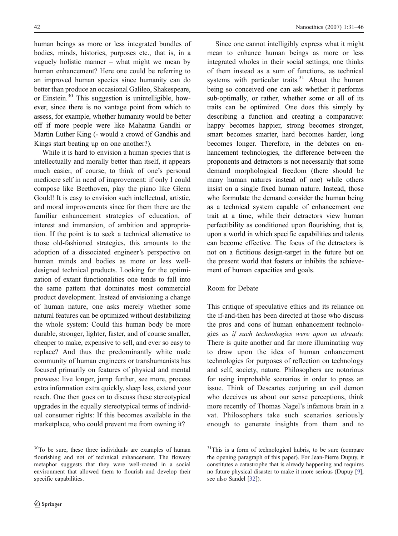human beings as more or less integrated bundles of bodies, minds, histories, purposes etc., that is, in a vaguely holistic manner – what might we mean by human enhancement? Here one could be referring to an improved human species since humanity can do better than produce an occasional Galileo, Shakespeare, or Einstein.30 This suggestion is unintelligible, however, since there is no vantage point from which to assess, for example, whether humanity would be better off if more people were like Mahatma Gandhi or Martin Luther King (- would a crowd of Gandhis and Kings start beating up on one another?).

While it is hard to envision a human species that is intellectually and morally better than itself, it appears much easier, of course, to think of one's personal mediocre self in need of improvement: if only I could compose like Beethoven, play the piano like Glenn Gould! It is easy to envision such intellectual, artistic, and moral improvements since for them there are the familiar enhancement strategies of education, of interest and immersion, of ambition and appropriation. If the point is to seek a technical alternative to those old-fashioned strategies, this amounts to the adoption of a dissociated engineer's perspective on human minds and bodies as more or less welldesigned technical products. Looking for the optimization of extant functionalities one tends to fall into the same pattern that dominates most commercial product development. Instead of envisioning a change of human nature, one asks merely whether some natural features can be optimized without destabilizing the whole system: Could this human body be more durable, stronger, lighter, faster, and of course smaller, cheaper to make, expensive to sell, and ever so easy to replace? And thus the predominantly white male community of human engineers or transhumanists has focused primarily on features of physical and mental prowess: live longer, jump further, see more, process extra information extra quickly, sleep less, extend your reach. One then goes on to discuss these stereotypical upgrades in the equally stereotypical terms of individual consumer rights: If this becomes available in the marketplace, who could prevent me from owning it?

<sup>30</sup>To be sure, these three individuals are examples of human flourishing and not of technical enhancement. The flowery metaphor suggests that they were well-rooted in a social environment that allowed them to flourish and develop their specific capabilities.

Since one cannot intelligibly express what it might mean to enhance human beings as more or less integrated wholes in their social settings, one thinks of them instead as a sum of functions, as technical systems with particular traits. $31$  About the human being so conceived one can ask whether it performs sub-optimally, or rather, whether some or all of its traits can be optimized. One does this simply by describing a function and creating a comparative: happy becomes happier, strong becomes stronger, smart becomes smarter, hard becomes harder, long becomes longer. Therefore, in the debates on enhancement technologies, the difference between the proponents and detractors is not necessarily that some demand morphological freedom (there should be many human natures instead of one) while others insist on a single fixed human nature. Instead, those who formulate the demand consider the human being as a technical system capable of enhancement one trait at a time, while their detractors view human perfectibility as conditioned upon flourishing, that is, upon a world in which specific capabilities and talents can become effective. The focus of the detractors is not on a fictitious design-target in the future but on the present world that fosters or inhibits the achievement of human capacities and goals.

### Room for Debate

This critique of speculative ethics and its reliance on the if-and-then has been directed at those who discuss the pros and cons of human enhancement technologies as if such technologies were upon us already. There is quite another and far more illuminating way to draw upon the idea of human enhancement technologies for purposes of reflection on technology and self, society, nature. Philosophers are notorious for using improbable scenarios in order to press an issue. Think of Descartes conjuring an evil demon who deceives us about our sense perceptions, think more recently of Thomas Nagel's infamous brain in a vat. Philosophers take such scenarios seriously enough to generate insights from them and to

<sup>&</sup>lt;sup>31</sup>This is a form of technological hubris, to be sure (compare the opening paragraph of this paper). For Jean-Pierre Dupuy, it constitutes a catastrophe that is already happening and requires no future physical disaster to make it more serious (Dupuy [\[9](#page-14-0)], see also Sandel [\[32](#page-15-0)]).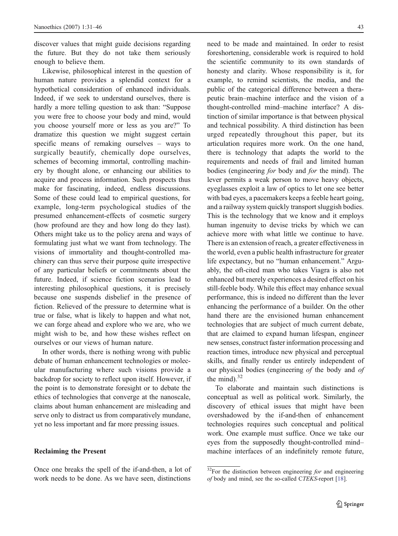discover values that might guide decisions regarding the future. But they do not take them seriously enough to believe them.

Likewise, philosophical interest in the question of human nature provides a splendid context for a hypothetical consideration of enhanced individuals. Indeed, if we seek to understand ourselves, there is hardly a more telling question to ask than: "Suppose you were free to choose your body and mind, would you choose yourself more or less as you are?" To dramatize this question we might suggest certain specific means of remaking ourselves – ways to surgically beautify, chemically dope ourselves, schemes of becoming immortal, controlling machinery by thought alone, or enhancing our abilities to acquire and process information. Such prospects thus make for fascinating, indeed, endless discussions. Some of these could lead to empirical questions, for example, long-term psychological studies of the presumed enhancement-effects of cosmetic surgery (how profound are they and how long do they last). Others might take us to the policy arena and ways of formulating just what we want from technology. The visions of immortality and thought-controlled machinery can thus serve their purpose quite irrespective of any particular beliefs or commitments about the future. Indeed, if science fiction scenarios lead to interesting philosophical questions, it is precisely because one suspends disbelief in the presence of fiction. Relieved of the pressure to determine what is true or false, what is likely to happen and what not, we can forge ahead and explore who we are, who we might wish to be, and how these wishes reflect on ourselves or our views of human nature.

In other words, there is nothing wrong with public debate of human enhancement technologies or molecular manufacturing where such visions provide a backdrop for society to reflect upon itself. However, if the point is to demonstrate foresight or to debate the ethics of technologies that converge at the nanoscale, claims about human enhancement are misleading and serve only to distract us from comparatively mundane, yet no less important and far more pressing issues.

#### Reclaiming the Present

Once one breaks the spell of the if-and-then, a lot of work needs to be done. As we have seen, distinctions

need to be made and maintained. In order to resist foreshortening, considerable work is required to hold the scientific community to its own standards of honesty and clarity. Whose responsibility is it, for example, to remind scientists, the media, and the public of the categorical difference between a therapeutic brain–machine interface and the vision of a thought-controlled mind–machine interface? A distinction of similar importance is that between physical and technical possibility. A third distinction has been urged repeatedly throughout this paper, but its articulation requires more work. On the one hand, there is technology that adapts the world to the requirements and needs of frail and limited human bodies (engineering for body and for the mind). The lever permits a weak person to move heavy objects, eyeglasses exploit a law of optics to let one see better with bad eyes, a pacemakers keeps a feeble heart going, and a railway system quickly transport sluggish bodies. This is the technology that we know and it employs human ingenuity to devise tricks by which we can achieve more with what little we continue to have. There is an extension of reach, a greater effectiveness in the world, even a public health infrastructure for greater life expectancy, but no "human enhancement." Arguably, the oft-cited man who takes Viagra is also not enhanced but merely experiences a desired effect on his still-feeble body. While this effect may enhance sexual performance, this is indeed no different than the lever enhancing the performance of a builder. On the other hand there are the envisioned human enhancement technologies that are subject of much current debate, that are claimed to expand human lifespan, engineer new senses, construct faster information processing and reaction times, introduce new physical and perceptual skills, and finally render us entirely independent of our physical bodies (engineering of the body and of the mind). $32$ 

To elaborate and maintain such distinctions is conceptual as well as political work. Similarly, the discovery of ethical issues that might have been overshadowed by the if-and-then of enhancement technologies requires such conceptual and political work. One example must suffice. Once we take our eyes from the supposedly thought-controlled mind– machine interfaces of an indefinitely remote future,

 $32$ For the distinction between engineering for and engineering of body and mind, see the so-called CTEKS-report [\[18](#page-14-0)].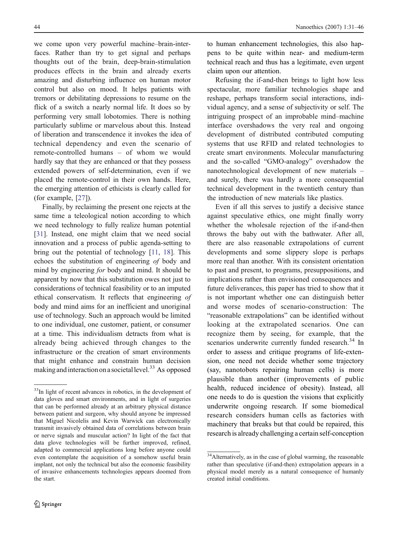we come upon very powerful machine–brain-interfaces. Rather than try to get signal and perhaps thoughts out of the brain, deep-brain-stimulation produces effects in the brain and already exerts amazing and disturbing influence on human motor control but also on mood. It helps patients with tremors or debilitating depressions to resume on the flick of a switch a nearly normal life. It does so by performing very small lobotomies. There is nothing particularly sublime or marvelous about this. Instead of liberation and transcendence it invokes the idea of technical dependency and even the scenario of remote-controlled humans – of whom we would hardly say that they are enhanced or that they possess extended powers of self-determination, even if we placed the remote-control in their own hands. Here, the emerging attention of ethicists is clearly called for (for example, [\[27](#page-14-0)]).

Finally, by reclaiming the present one rejects at the same time a teleological notion according to which we need technology to fully realize human potential [\[31](#page-15-0)]. Instead, one might claim that we need social innovation and a process of public agenda-setting to bring out the potential of technology [\[11](#page-14-0), [18](#page-14-0)]. This echoes the substitution of engineering of body and mind by engineering for body and mind. It should be apparent by now that this substitution owes not just to considerations of technical feasibility or to an imputed ethical conservatism. It reflects that engineering of body and mind aims for an inefficient and unoriginal use of technology. Such an approach would be limited to one individual, one customer, patient, or consumer at a time. This individualism detracts from what is already being achieved through changes to the infrastructure or the creation of smart environments that might enhance and constrain human decision making and interaction on a societal level.<sup>33</sup> As opposed

to human enhancement technologies, this also happens to be quite within near- and medium-term technical reach and thus has a legitimate, even urgent claim upon our attention.

Refusing the if-and-then brings to light how less spectacular, more familiar technologies shape and reshape, perhaps transform social interactions, individual agency, and a sense of subjectivity or self. The intriguing prospect of an improbable mind–machine interface overshadows the very real and ongoing development of distributed contributed computing systems that use RFID and related technologies to create smart environments. Molecular manufacturing and the so-called "GMO-analogy" overshadow the nanotechnological development of new materials – and surely, there was hardly a more consequential technical development in the twentieth century than the introduction of new materials like plastics.

Even if all this serves to justify a decisive stance against speculative ethics, one might finally worry whether the wholesale rejection of the if-and-then throws the baby out with the bathwater. After all, there are also reasonable extrapolations of current developments and some slippery slope is perhaps more real than another. With its consistent orientation to past and present, to programs, presuppositions, and implications rather than envisioned consequences and future deliverances, this paper has tried to show that it is not important whether one can distinguish better and worse modes of scenario-construction: The "reasonable extrapolations" can be identified without looking at the extrapolated scenarios. One can recognize them by seeing, for example, that the scenarios underwrite currently funded research.<sup>34</sup> In order to assess and critique programs of life-extension, one need not decide whether some trajectory (say, nanotobots repairing human cells) is more plausible than another (improvements of public health, reduced incidence of obesity). Instead, all one needs to do is question the visions that explicitly underwrite ongoing research. If some biomedical research considers human cells as factories with machinery that breaks but that could be repaired, this research is already challenging a certain self-conception

<sup>&</sup>lt;sup>33</sup>In light of recent advances in robotics, in the development of data gloves and smart environments, and in light of surgeries that can be performed already at an arbitrary physical distance between patient and surgeon, why should anyone be impressed that Miguel Nicolelis and Kevin Warwick can electronically transmit invasively obtained data of correlations between brain or nerve signals and muscular action? In light of the fact that data glove technologies will be further improved, refined, adapted to commercial applications long before anyone could even contemplate the acquisition of a somehow useful brain implant, not only the technical but also the economic feasibility of invasive enhancements technologies appears doomed from the start.

<sup>&</sup>lt;sup>34</sup>Alternatively, as in the case of global warming, the reasonable rather than speculative (if-and-then) extrapolation appears in a physical model merely as a natural consequence of humanly created initial conditions.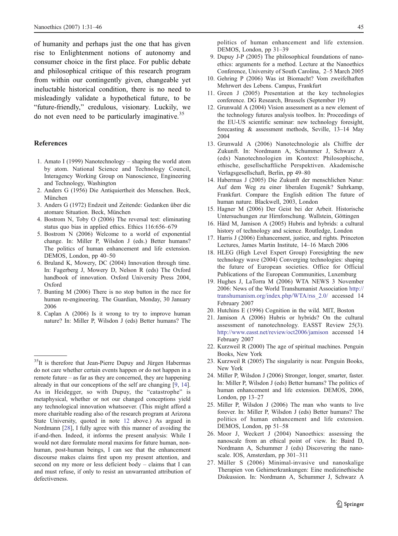<span id="page-14-0"></span>of humanity and perhaps just the one that has given rise to Enlightenment notions of autonomy and consumer choice in the first place. For public debate and philosophical critique of this research program from within our contingently given, changeable yet ineluctable historical condition, there is no need to misleadingly validate a hypothetical future, to be "future-friendly," credulous, visionary. Luckily, we do not even need to be particularly imaginative.<sup>35</sup>

#### References

- 1. Amato I (1999) Nanotechnology shaping the world atom by atom. National Science and Technology Council, Interagency Working Group on Nanoscience, Engineering and Technology, Washington
- 2. Anders G (1956) Die Antiquiertheit des Menschen. Beck, München
- 3. Anders G (1972) Endzeit und Zeitende: Gedanken über die atomare Situation. Beck, München
- 4. Bostrom N, Toby O (2006) The reversal test: eliminating status quo bias in applied ethics. Ethics 116:656–679
- 5. Bostrom N (2006) Welcome to a world of exponential change. In: Miller P, Wilsdon J (eds.) Better humans? The politics of human enhancement and life extension. DEMOS, London, pp 40–50
- 6. Bruland K, Mowery, DC (2004) Innovation through time. In: Fagerberg J, Mowery D, Nelson R (eds) The Oxford handbook of innovation. Oxford University Press 2004, Oxford
- 7. Bunting M (2006) There is no stop button in the race for human re-engineering. The Guardian, Monday, 30 January 2006
- 8. Caplan A (2006) Is it wrong to try to improve human nature? In: Miller P, Wilsdon J (eds) Better humans? The

politics of human enhancement and life extension. DEMOS, London, pp 31–39

- 9. Dupuy J-P (2005) The philosophical foundations of nanoethics: arguments for a method. Lecture at the Nanoethics Conference, University of South Carolina, 2–5 March 2005
- 10. Gehring P (2006) Was ist Biomacht? Vom zweifelhaften Mehrwert des Lebens. Campus, Frankfurt
- 11. Green J (2005) Presentation at the key technologies conference. DG Research, Brussels (September 19)
- 12. Grunwald A (2004) Vision assessment as a new element of the technology futures analysis toolbox. In: Proceedings of the EU-US scientific seminar: new technology foresight, forecasting & assessment methods, Seville, 13–14 May 2004
- 13. Grunwald A (2006) Nanotechnologie als Chiffre der Zukunft. In: Nordmann A, Schummer J, Schwarz A (eds) Nanotechnologien im Kontext: Philosophische, ethische, gesellschaftliche Perspektiven. Akademische Verlagsgesellschaft, Berlin, pp 49–80
- 14. Habermas J (2005) Die Zukunft der menschlichen Natur: Auf dem Weg zu einer liberalen Eugenik? Suhrkamp, Frankfurt. Compare the English edition The future of human nature. Blackwell, 2003, London
- 15. Hagner M (2006) Der Geist bei der Arbeit. Historische Untersuchungen zur Hirnforschung. Wallstein, Göttingen
- 16. Hård M, Jamison A (2005) Hubris and hybrids: a cultural history of technology and science. Routledge, London
- 17. Harris J (2006) Enhancement, justice, and rights. Princeton Lectures, James Martin Institute, 14–16 March 2006
- 18. HLEG (High Level Expert Group) Foresighting the new technology wave (2004) Converging technologies: shaping the future of European societies. Office for Official Publications of the European Communities, Luxemburg
- 19. Hughes J, LaTorra M (2006) WTA NEWS 3 November 2006: News of the World Transhumanist Association [http:/](http://transhumanism.org/index.php/WTA/rss_2.0/)/ [transhumanism.org/index.php/WTA/rss\\_2.0](http://transhumanism.org/index.php/WTA/rss_2.0/)/ accessed 14 February 2007
- 20. Hutchins E (1996) Cognition in the wild. MIT, Boston
- 21. Jamison A (2006) Hubris or hybrids? On the cultural assessment of nanotechnology. EASST Review 25(3). <http://www.easst.net/review/oct2006/jamison> accessed 14 February 2007
- 22. Kurzweil R (2000) The age of spiritual machines. Penguin Books, New York
- 23. Kurzweil R (2005) The singularity is near. Penguin Books, New York
- 24. Miller P, Wilsdon J (2006) Stronger, longer, smarter, faster. In: Miller P, Wilsdon J (eds) Better humans? The politics of human enhancement and life extension. DEMOS, 2006, London, pp 13–27
- 25. Miller P, Wilsdon J (2006) The man who wants to live forever. In: Miller P, Wilsdon J (eds) Better humans? The politics of human enhancement and life extension. DEMOS, London, pp 51–58
- 26. Moor J, Weckert J (2004) Nanoethics: assessing the nanoscale from an ethical point of view. In: Baird D, Nordmann A, Schummer J (eds) Discovering the nanoscale. IOS, Amsterdam, pp 301–311
- 27. Müller S (2006) Minimal-invasive und nanoskalige Therapien von Gehirnerkrankungen: Eine medizinethische Diskussion. In: Nordmann A, Schummer J, Schwarz A

<sup>&</sup>lt;sup>35</sup>It is therefore that Jean-Pierre Dupuy and Jürgen Habermas do not care whether certain events happen or do not happen in a remote future – as far as they are concerned, they are happening already in that our conceptions of the self are changing [9, 14]. As in Heidegger, so with Dupuy, the "catastrophe" is metaphysical, whether or not our changed conceptions yield any technological innovation whatsoever. (This might afford a more charitable reading also of the research program at Arizona State University, quoted in note [12](#page-4-0) above.) As argued in Nordmann [\[28](#page-15-0)], I fully agree with this manner of avoiding the if-and-then. Indeed, it informs the present analysis: While I would not dare formulate moral maxims for future human, nonhuman, post-human beings, I can see that the enhancement discourse makes claims first upon my present attention, and second on my more or less deficient body – claims that I can and must refuse, if only to resist an unwarranted attribution of defectiveness.